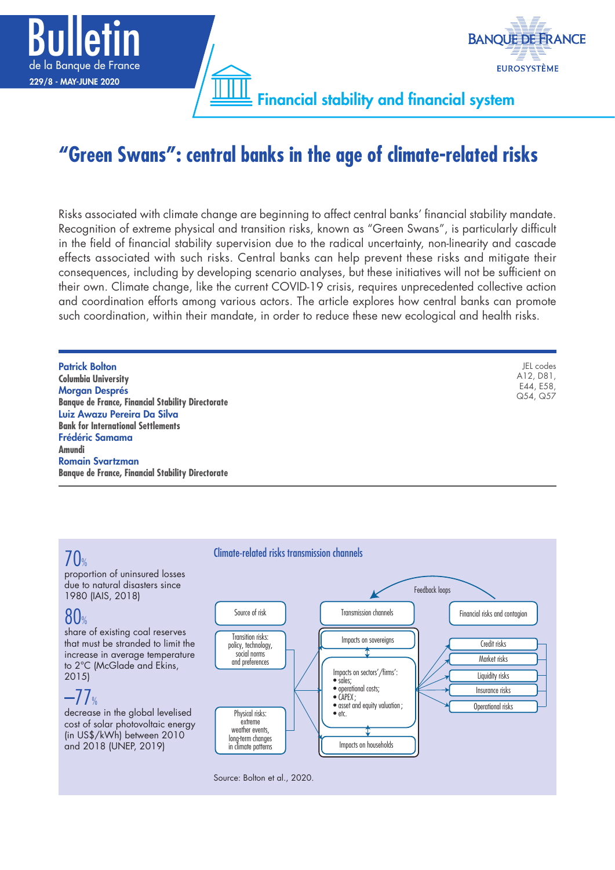

# **"Green Swans": central banks in the age of climate-related risks**

Risks associated with climate change are beginning to affect central banks' financial stability mandate. Recognition of extreme physical and transition risks, known as "Green Swans", is particularly difficult in the field of financial stability supervision due to the radical uncertainty, non-linearity and cascade effects associated with such risks. Central banks can help prevent these risks and mitigate their consequences, including by developing scenario analyses, but these initiatives will not be sufficient on their own. Climate change, like the current COVID-19 crisis, requires unprecedented collective action and coordination efforts among various actors. The article explores how central banks can promote such coordination, within their mandate, in order to reduce these new ecological and health risks.

| <b>Patrick Bolton</b>                                    | JEL codes |
|----------------------------------------------------------|-----------|
| <b>Columbia University</b>                               | A12, D81, |
| <b>Morgan Després</b>                                    | E44, E58, |
| <b>Banque de France, Financial Stability Directorate</b> | Q54, Q57  |
| Luiz Awazu Pereira Da Silva                              |           |
| <b>Bank for International Settlements</b>                |           |
| <b>Frédéric Samama</b>                                   |           |
| Amundi                                                   |           |
| <b>Romain Svartzman</b>                                  |           |
| <b>Banque de France, Financial Stability Directorate</b> |           |

# $\int \int_{\mathbb{Z}}$

proportion of uninsured losses due to natural disasters since 1980 (IAIS, 2018)

# 80%

share of existing coal reserves that must be stranded to limit the increase in average temperature to 2°C (McGlade and Ekins, 2015)

# $-77$ %

decrease in the global levelised cost of solar photovoltaic energy (in US\$/kWh) between 2010 and 2018 (UNEP, 2019)

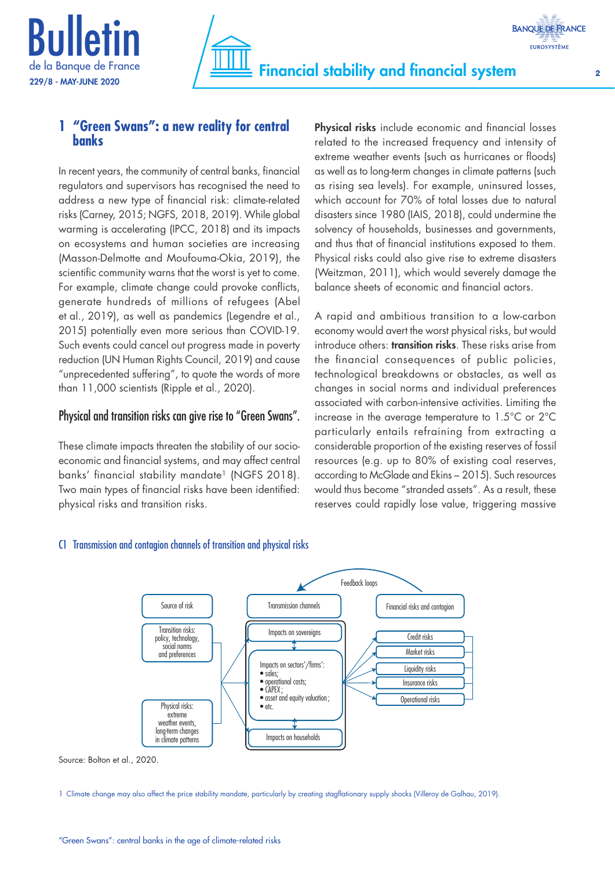



## **1 "Green Swans": a new reality for central banks**

In recent years, the community of central banks, financial regulators and supervisors has recognised the need to address a new type of financial risk: climate-related risks (Carney, 2015; NGFS, 2018, 2019). While global warming is accelerating (IPCC, 2018) and its impacts on ecosystems and human societies are increasing (Masson-Delmotte and Moufouma-Okia, 2019), the scientific community warns that the worst is yet to come. For example, climate change could provoke conflicts, generate hundreds of millions of refugees (Abel et al., 2019), as well as pandemics (Legendre et al., 2015) potentially even more serious than COVID-19. Such events could cancel out progress made in poverty reduction (UN Human Rights Council, 2019) and cause "unprecedented suffering", to quote the words of more than 11,000 scientists (Ripple et al., 2020).

## Physical and transition risks can give rise to "Green Swans".

These climate impacts threaten the stability of our socioeconomic and financial systems, and may affect central banks' financial stability mandate<sup>1</sup> (NGFS 2018). Two main types of financial risks have been identified: physical risks and transition risks.

Physical risks include economic and financial losses related to the increased frequency and intensity of extreme weather events (such as hurricanes or floods) as well as to long-term changes in climate patterns (such as rising sea levels). For example, uninsured losses, which account for 70% of total losses due to natural disasters since 1980 (IAIS, 2018), could undermine the solvency of households, businesses and governments, and thus that of financial institutions exposed to them. Physical risks could also give rise to extreme disasters (Weitzman, 2011), which would severely damage the balance sheets of economic and financial actors.

A rapid and ambitious transition to a low-carbon economy would avert the worst physical risks, but would introduce others: **transition risks**. These risks arise from the financial consequences of public policies, technological breakdowns or obstacles, as well as changes in social norms and individual preferences associated with carbon-intensive activities. Limiting the increase in the average temperature to 1.5°C or 2°C particularly entails refraining from extracting a considerable proportion of the existing reserves of fossil resources (e.g. up to 80% of existing coal reserves, according to McGlade and Ekins – 2015). Such resources would thus become "stranded assets". As a result, these reserves could rapidly lose value, triggering massive

## C1 Transmission and contagion channels of transition and physical risks



Source: Bolton et al., 2020.

<sup>1</sup> Climate change may also affect the price stability mandate, particularly by creating stagflationary supply shocks (Villeroy de Galhau, 2019).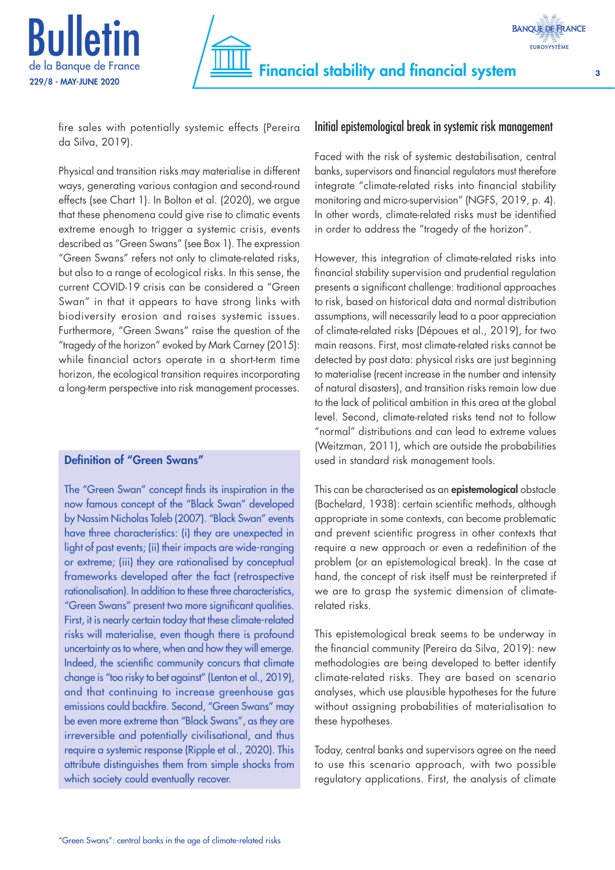



fire sales with potentially systemic effects (Pereira da Silva, 2019).

Physical and transition risks may materialise in different ways, generating various contagion and second-round effects (see Chart 1). In Bolton et al. (2020), we argue that these phenomena could give rise to climatic events extreme enough to trigger a systemic crisis, events described as "Green Swans" (see Box 1). The expression "Green Swans" refers not only to climate-related risks, but also to a range of ecological risks. In this sense, the current COVID-19 crisis can be considered a "Green Swan" in that it appears to have strong links with biodiversity erosion and raises systemic issues. Furthermore, "Green Swans" raise the question of the "tragedy of the horizon" evoked by Mark Carney (2015): while financial actors operate in a short-term time horizon, the ecological transition requires incorporating a long-term perspective into risk management processes.

## Definition of "Green Swans"

The "Green Swan" concept finds its inspiration in the now famous concept of the "Black Swan" developed by Nassim Nicholas Taleb (2007). "Black Swan" events have three characteristics: (i) they are unexpected in light of past events; (ii) their impacts are wide-ranging or extreme; (iii) they are rationalised by conceptual frameworks developed after the fact (retrospective rationalisation). In addition to these three characteristics, "Green Swans" present two more significant qualities. First, it is nearly certain today that these climate-related risks will materialise, even though there is profound uncertainty as to where, when and how they will emerge. Indeed, the scientific community concurs that climate change is "too risky to bet against" (Lenton et al., 2019), and that continuing to increase greenhouse gas emissions could backfire. Second, "Green Swans" may be even more extreme than "Black Swans", as they are irreversible and potentially civilisational, and thus require a systemic response (Ripple et al., 2020). This attribute distinguishes them from simple shocks from which society could eventually recover.

## Initial epistemological break in systemic risk management

Faced with the risk of systemic destabilisation, central banks, supervisors and financial regulators must therefore integrate "climate-related risks into financial stability monitoring and micro-supervision" (NGFS, 2019, p. 4). In other words, climate-related risks must be identified in order to address the "tragedy of the horizon".

However, this integration of climate-related risks into financial stability supervision and prudential regulation presents a significant challenge: traditional approaches to risk, based on historical data and normal distribution assumptions, will necessarily lead to a poor appreciation of climate-related risks (Dépoues et al., 2019), for two main reasons. First, most climate-related risks cannot be detected by past data: physical risks are just beginning to materialise (recent increase in the number and intensity of natural disasters), and transition risks remain low due to the lack of political ambition in this area at the global level. Second, climate-related risks tend not to follow "normal" distributions and can lead to extreme values (Weitzman, 2011), which are outside the probabilities used in standard risk management tools.

This can be characterised as an epistemological obstacle (Bachelard, 1938): certain scientific methods, although appropriate in some contexts, can become problematic and prevent scientific progress in other contexts that require a new approach or even a redefinition of the problem (or an epistemological break). In the case at hand, the concept of risk itself must be reinterpreted if we are to grasp the systemic dimension of climaterelated risks.

This epistemological break seems to be underway in the financial community (Pereira da Silva, 2019): new methodologies are being developed to better identify climate-related risks. They are based on scenario analyses, which use plausible hypotheses for the future without assigning probabilities of materialisation to these hypotheses.

Today, central banks and supervisors agree on the need to use this scenario approach, with two possible regulatory applications. First, the analysis of climate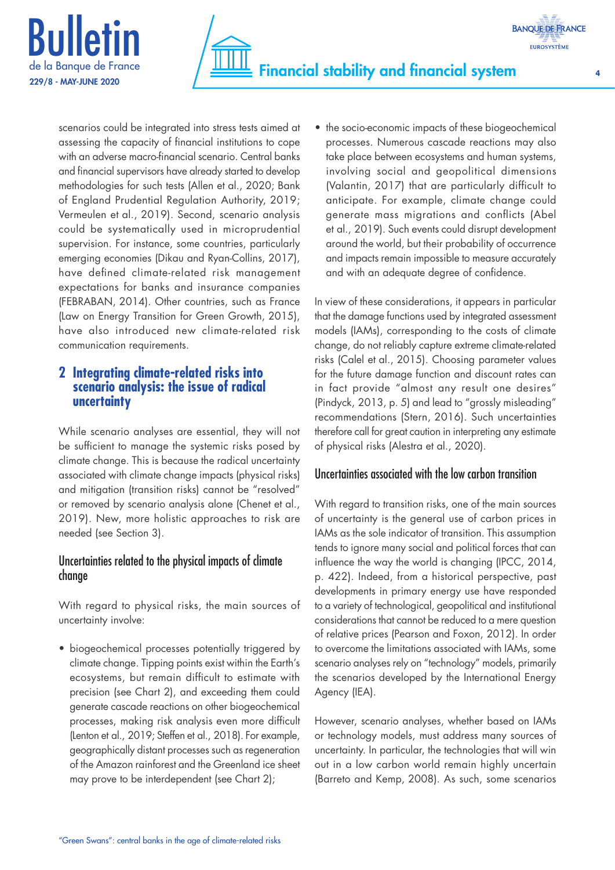



scenarios could be integrated into stress tests aimed at assessing the capacity of financial institutions to cope with an adverse macro-financial scenario. Central banks and financial supervisors have already started to develop methodologies for such tests (Allen et al., 2020; Bank of England Prudential Regulation Authority, 2019; Vermeulen et al., 2019). Second, scenario analysis could be systematically used in microprudential supervision. For instance, some countries, particularly emerging economies (Dikau and Ryan-Collins, 2017), have defined climate-related risk management expectations for banks and insurance companies (FEBRABAN, 2014). Other countries, such as France (Law on Energy Transition for Green Growth, 2015), have also introduced new climate-related risk communication requirements.

## **2 Integrating climate-related risks into scenario analysis: the issue of radical uncertainty**

While scenario analyses are essential, they will not be sufficient to manage the systemic risks posed by climate change. This is because the radical uncertainty associated with climate change impacts (physical risks) and mitigation (transition risks) cannot be "resolved" or removed by scenario analysis alone (Chenet et al., 2019). New, more holistic approaches to risk are needed (see Section 3).

## Uncertainties related to the physical impacts of climate change

With regard to physical risks, the main sources of uncertainty involve:

• biogeochemical processes potentially triggered by climate change. Tipping points exist within the Earth's ecosystems, but remain difficult to estimate with precision (see Chart 2), and exceeding them could generate cascade reactions on other biogeochemical processes, making risk analysis even more difficult (Lenton et al., 2019; Steffen et al., 2018). For example, geographically distant processes such as regeneration of the Amazon rainforest and the Greenland ice sheet may prove to be interdependent (see Chart 2);

• the socio-economic impacts of these biogeochemical processes. Numerous cascade reactions may also take place between ecosystems and human systems, involving social and geopolitical dimensions (Valantin, 2017) that are particularly difficult to anticipate. For example, climate change could generate mass migrations and conflicts (Abel et al., 2019). Such events could disrupt development around the world, but their probability of occurrence and impacts remain impossible to measure accurately and with an adequate degree of confidence.

In view of these considerations, it appears in particular that the damage functions used by integrated assessment models (IAMs), corresponding to the costs of climate change, do not reliably capture extreme climate-related risks (Calel et al., 2015). Choosing parameter values for the future damage function and discount rates can in fact provide "almost any result one desires" (Pindyck, 2013, p. 5) and lead to "grossly misleading" recommendations (Stern, 2016). Such uncertainties therefore call for great caution in interpreting any estimate of physical risks (Alestra et al., 2020).

## Uncertainties associated with the low carbon transition

With regard to transition risks, one of the main sources of uncertainty is the general use of carbon prices in IAMs as the sole indicator of transition. This assumption tends to ignore many social and political forces that can influence the way the world is changing (IPCC, 2014, p. 422). Indeed, from a historical perspective, past developments in primary energy use have responded to a variety of technological, geopolitical and institutional considerations that cannot be reduced to a mere question of relative prices (Pearson and Foxon, 2012). In order to overcome the limitations associated with IAMs, some scenario analyses rely on "technology" models, primarily the scenarios developed by the International Energy Agency (IEA).

However, scenario analyses, whether based on IAMs or technology models, must address many sources of uncertainty. In particular, the technologies that will win out in a low carbon world remain highly uncertain (Barreto and Kemp, 2008). As such, some scenarios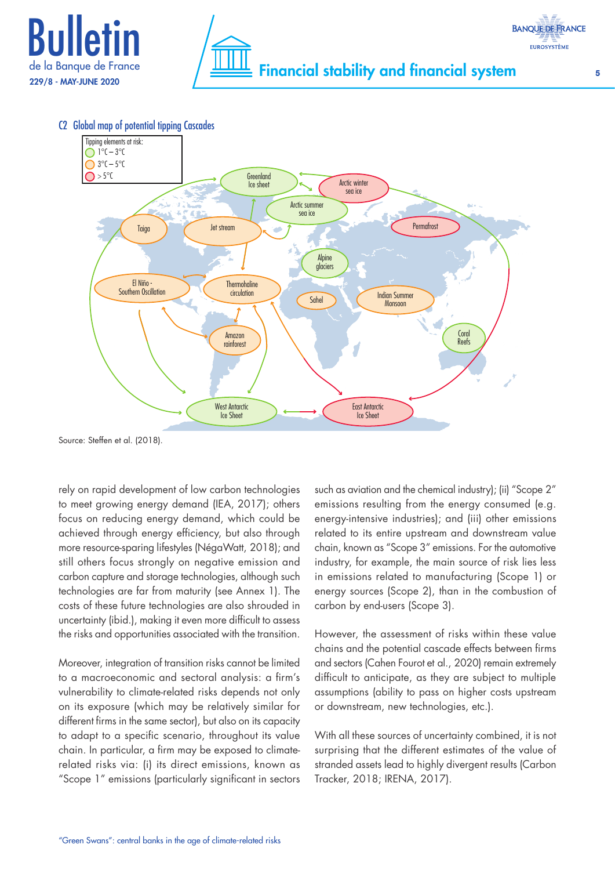



C2 Global map of potential tipping Cascades



Source: Steffen et al. (2018).

rely on rapid development of low carbon technologies to meet growing energy demand (IEA, 2017); others focus on reducing energy demand, which could be achieved through energy efficiency, but also through more resource-sparing lifestyles (NégaWatt, 2018); and still others focus strongly on negative emission and carbon capture and storage technologies, although such technologies are far from maturity (see Annex 1). The costs of these future technologies are also shrouded in uncertainty (ibid.), making it even more difficult to assess the risks and opportunities associated with the transition.

Moreover, integration of transition risks cannot be limited to a macroeconomic and sectoral analysis: a firm's vulnerability to climate-related risks depends not only on its exposure (which may be relatively similar for different firms in the same sector), but also on its capacity to adapt to a specific scenario, throughout its value chain. In particular, a firm may be exposed to climaterelated risks via: (i) its direct emissions, known as "Scope 1" emissions (particularly significant in sectors

such as aviation and the chemical industry); (ii) "Scope 2" emissions resulting from the energy consumed (e.g. energy-intensive industries); and (iii) other emissions related to its entire upstream and downstream value chain, known as "Scope 3" emissions. For the automotive industry, for example, the main source of risk lies less in emissions related to manufacturing (Scope 1) or energy sources (Scope 2), than in the combustion of carbon by end-users (Scope 3).

However, the assessment of risks within these value chains and the potential cascade effects between firms and sectors (Cahen Fourot et al., 2020) remain extremely difficult to anticipate, as they are subject to multiple assumptions (ability to pass on higher costs upstream or downstream, new technologies, etc.).

With all these sources of uncertainty combined, it is not surprising that the different estimates of the value of stranded assets lead to highly divergent results (Carbon Tracker, 2018; IRENA, 2017).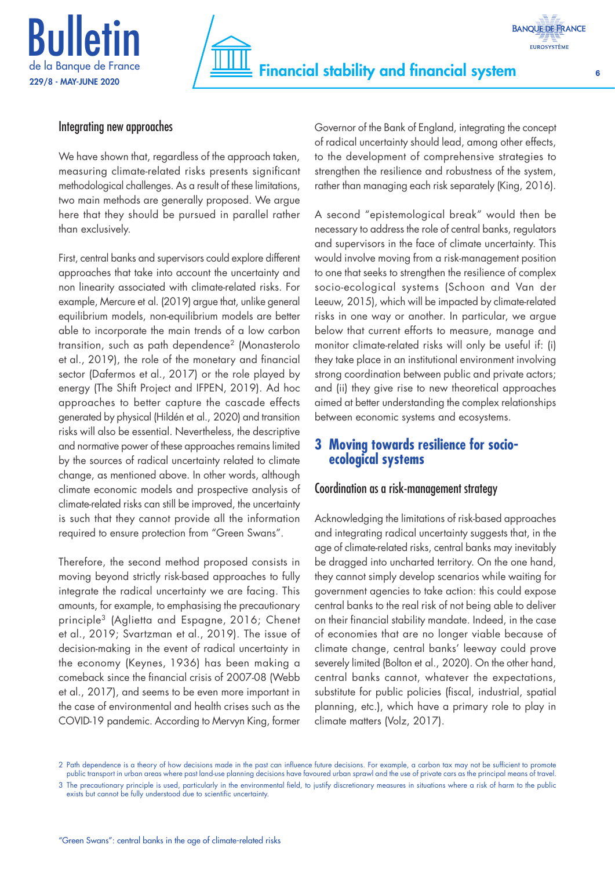



## Integrating new approaches

We have shown that, regardless of the approach taken, measuring climate-related risks presents significant methodological challenges. As a result of these limitations, two main methods are generally proposed. We argue here that they should be pursued in parallel rather than exclusively.

First, central banks and supervisors could explore different approaches that take into account the uncertainty and non linearity associated with climate-related risks. For example, Mercure et al. (2019) argue that, unlike general equilibrium models, non-equilibrium models are better able to incorporate the main trends of a low carbon transition, such as path dependence2 (Monasterolo et al., 2019), the role of the monetary and financial sector (Dafermos et al., 2017) or the role played by energy (The Shift Project and IFPEN, 2019). Ad hoc approaches to better capture the cascade effects generated by physical (Hildén et al., 2020) and transition risks will also be essential. Nevertheless, the descriptive and normative power of these approaches remains limited by the sources of radical uncertainty related to climate change, as mentioned above. In other words, although climate economic models and prospective analysis of climate-related risks can still be improved, the uncertainty is such that they cannot provide all the information required to ensure protection from "Green Swans".

Therefore, the second method proposed consists in moving beyond strictly risk-based approaches to fully integrate the radical uncertainty we are facing. This amounts, for example, to emphasising the precautionary principle3 (Aglietta and Espagne, 2016; Chenet et al., 2019; Svartzman et al., 2019). The issue of decision-making in the event of radical uncertainty in the economy (Keynes, 1936) has been making a comeback since the financial crisis of 2007-08 (Webb et al., 2017), and seems to be even more important in the case of environmental and health crises such as the COVID-19 pandemic. According to Mervyn King, former

Governor of the Bank of England, integrating the concept of radical uncertainty should lead, among other effects, to the development of comprehensive strategies to strengthen the resilience and robustness of the system, rather than managing each risk separately (King, 2016).

A second "epistemological break" would then be necessary to address the role of central banks, regulators and supervisors in the face of climate uncertainty. This would involve moving from a risk-management position to one that seeks to strengthen the resilience of complex socio-ecological systems (Schoon and Van der Leeuw, 2015), which will be impacted by climate-related risks in one way or another. In particular, we argue below that current efforts to measure, manage and monitor climate-related risks will only be useful if: (i) they take place in an institutional environment involving strong coordination between public and private actors; and (ii) they give rise to new theoretical approaches aimed at better understanding the complex relationships between economic systems and ecosystems.

## **3 Moving towards resilience for socioecological systems**

## Coordination as a risk-management strategy

Acknowledging the limitations of risk-based approaches and integrating radical uncertainty suggests that, in the age of climate-related risks, central banks may inevitably be dragged into uncharted territory. On the one hand, they cannot simply develop scenarios while waiting for government agencies to take action: this could expose central banks to the real risk of not being able to deliver on their financial stability mandate. Indeed, in the case of economies that are no longer viable because of climate change, central banks' leeway could prove severely limited (Bolton et al., 2020). On the other hand, central banks cannot, whatever the expectations, substitute for public policies (fiscal, industrial, spatial planning, etc.), which have a primary role to play in climate matters (Volz, 2017).

<sup>2</sup> Path dependence is a theory of how decisions made in the past can influence future decisions. For example, a carbon tax may not be sufficient to promote public transport in urban areas where past land-use planning decisions have favoured urban sprawl and the use of private cars as the principal means of travel. 3 The precautionary principle is used, particularly in the environmental field, to justify discretionary measures in situations where a risk of harm to the public exists but cannot be fully understood due to scientific uncertainty.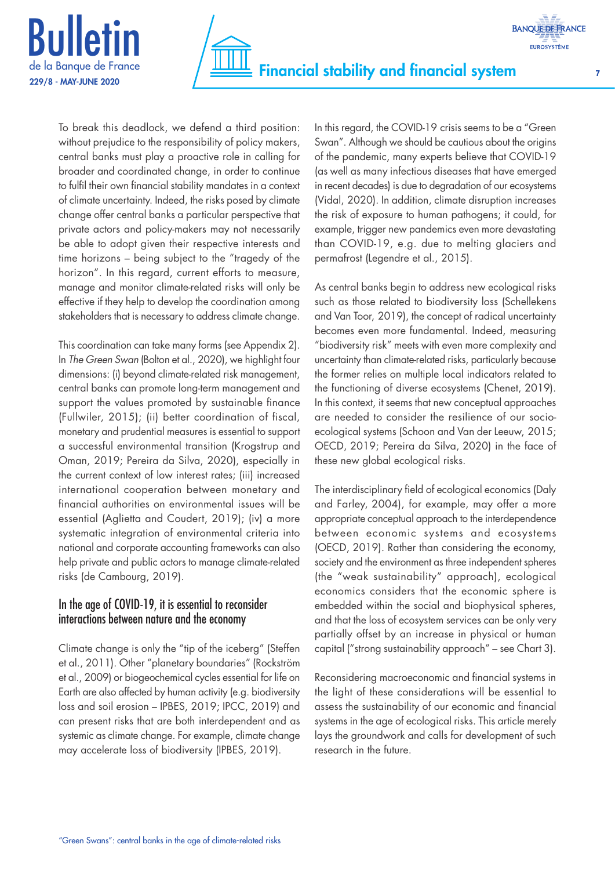



To break this deadlock, we defend a third position: without prejudice to the responsibility of policy makers, central banks must play a proactive role in calling for broader and coordinated change, in order to continue to fulfil their own financial stability mandates in a context of climate uncertainty. Indeed, the risks posed by climate change offer central banks a particular perspective that private actors and policy-makers may not necessarily be able to adopt given their respective interests and time horizons – being subject to the "tragedy of the horizon". In this regard, current efforts to measure, manage and monitor climate-related risks will only be effective if they help to develop the coordination among stakeholders that is necessary to address climate change.

This coordination can take many forms (see Appendix 2). In *The Green Swan* (Bolton et al., 2020), we highlight four dimensions: (i) beyond climate-related risk management, central banks can promote long-term management and support the values promoted by sustainable finance (Fullwiler, 2015); (ii) better coordination of fiscal, monetary and prudential measures is essential to support a successful environmental transition (Krogstrup and Oman, 2019; Pereira da Silva, 2020), especially in the current context of low interest rates; (iii) increased international cooperation between monetary and financial authorities on environmental issues will be essential (Aglietta and Coudert, 2019); (iv) a more systematic integration of environmental criteria into national and corporate accounting frameworks can also help private and public actors to manage climate-related risks (de Cambourg, 2019).

## In the age of COVID-19, it is essential to reconsider interactions between nature and the economy

Climate change is only the "tip of the iceberg" (Steffen et al., 2011). Other "planetary boundaries" (Rockström et al., 2009) or biogeochemical cycles essential for life on Earth are also affected by human activity (e.g. biodiversity loss and soil erosion – IPBES, 2019; IPCC, 2019) and can present risks that are both interdependent and as systemic as climate change. For example, climate change may accelerate loss of biodiversity (IPBES, 2019).

In this regard, the COVID-19 crisis seems to be a "Green Swan". Although we should be cautious about the origins of the pandemic, many experts believe that COVID-19 (as well as many infectious diseases that have emerged in recent decades) is due to degradation of our ecosystems (Vidal, 2020). In addition, climate disruption increases the risk of exposure to human pathogens; it could, for example, trigger new pandemics even more devastating than COVID-19, e.g. due to melting glaciers and permafrost (Legendre et al., 2015).

As central banks begin to address new ecological risks such as those related to biodiversity loss (Schellekens and Van Toor, 2019), the concept of radical uncertainty becomes even more fundamental. Indeed, measuring "biodiversity risk" meets with even more complexity and uncertainty than climate-related risks, particularly because the former relies on multiple local indicators related to the functioning of diverse ecosystems (Chenet, 2019). In this context, it seems that new conceptual approaches are needed to consider the resilience of our socioecological systems (Schoon and Van der Leeuw, 2015; OECD, 2019; Pereira da Silva, 2020) in the face of these new global ecological risks.

The interdisciplinary field of ecological economics (Daly and Farley, 2004), for example, may offer a more appropriate conceptual approach to the interdependence between economic systems and ecosystems (OECD, 2019). Rather than considering the economy, society and the environment as three independent spheres (the "weak sustainability" approach), ecological economics considers that the economic sphere is embedded within the social and biophysical spheres, and that the loss of ecosystem services can be only very partially offset by an increase in physical or human capital ("strong sustainability approach" – see Chart 3).

Reconsidering macroeconomic and financial systems in the light of these considerations will be essential to assess the sustainability of our economic and financial systems in the age of ecological risks. This article merely lays the groundwork and calls for development of such research in the future.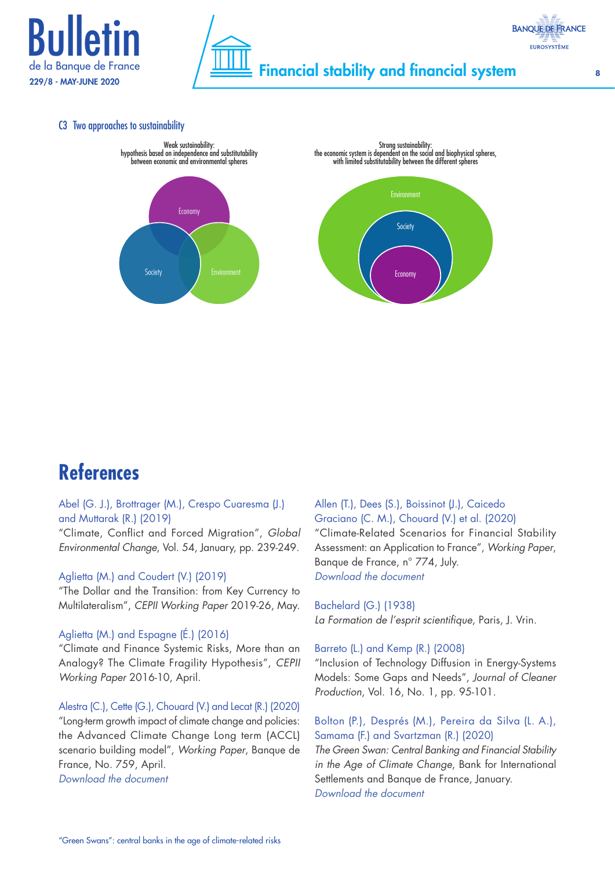



#### C3 Two approaches to sustainability





# **References**

## Abel (G. J.), Brottrager (M.), Crespo Cuaresma (J.) and Muttarak (R.) (2019)

"Climate, Conflict and Forced Migration", *Global Environmental Change*, Vol. 54, January, pp. 239-249.

#### Aglietta (M.) and Coudert (V.) (2019)

"The Dollar and the Transition: from Key Currency to Multilateralism", *CEPII Working Paper* 2019-26, May.

#### Aglietta (M.) and Espagne (É.) (2016)

"Climate and Finance Systemic Risks, More than an Analogy? The Climate Fragility Hypothesis", *CEPII Working Paper* 2016-10, April.

Alestra (C.), Cette (G.), Chouard (V.) and Lecat (R.) (2020) "Long-term growth impact of climate change and policies: the Advanced Climate Change Long term (ACCL) scenario building model", *Working Paper*, Banque de France, No. 759, April. *[Download the](https://publications.banque-france.fr/sites/default/files/medias/documents/wp759.pdf) document*

Allen (T.), Dees (S.), Boissinot (J.), Caicedo Graciano (C. M.), Chouard (V.) et al. (2020) "Climate-Related Scenarios for Financial Stability Assessment: an Application to France", *Working Paper*, Banque de France, n° 774, July. *[Download the](https://www.banque-france.fr/sites/default/files/medias/documents/wp774.pdf) document*

Bachelard (G.) (1938) *La Formation de l'esprit scientifique*, Paris, J. Vrin.

#### Barreto (L.) and Kemp (R.) (2008)

"Inclusion of Technology Diffusion in Energy-Systems Models: Some Gaps and Needs", *Journal of Cleaner Production*, Vol. 16, No. 1, pp. 95-101.

Bolton (P.), Després (M.), Pereira da Silva (L. A.), Samama (F.) and Svartzman (R.) (2020) *The Green Swan: Central Banking and Financial Stability* 

*in the Age of Climate Change*, Bank for International Settlements and Banque de France, January. *[Download the](https://www.bis.org/publ/othp31.pdf) document*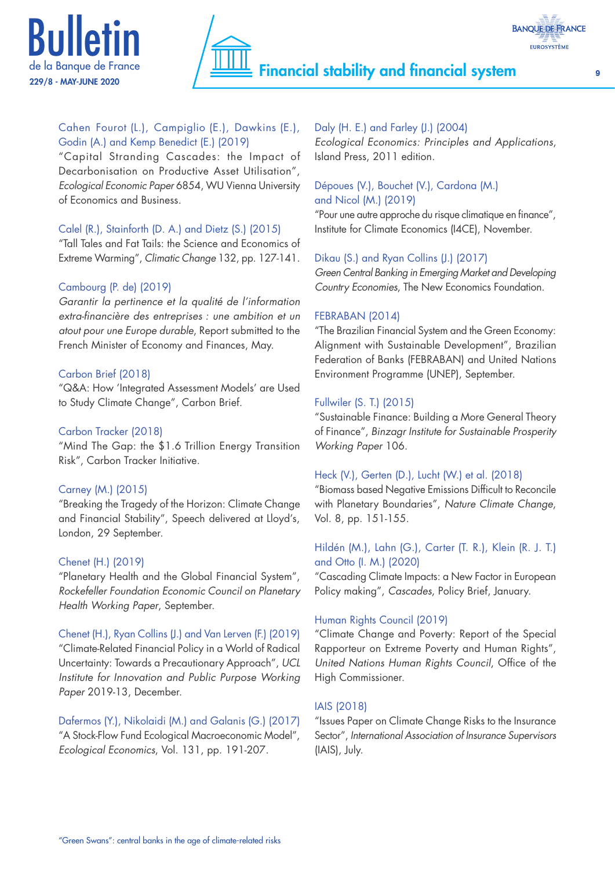



## Cahen Fourot (L.), Campiglio (E.), Dawkins (E.), Godin (A.) and Kemp Benedict (E.) (2019)

"Capital Stranding Cascades: the Impact of Decarbonisation on Productive Asset Utilisation", *Ecological Economic Paper* 6854, WU Vienna University of Economics and Business.

### Calel (R.), Stainforth (D. A.) and Dietz (S.) (2015)

"Tall Tales and Fat Tails: the Science and Economics of Extreme Warming", *Climatic Change* 132, pp. 127-141.

### Cambourg (P. de) (2019)

*Garantir la pertinence et la qualité de l'information extra-financière des entreprises : une ambition et un atout pour une Europe durable*, Report submitted to the French Minister of Economy and Finances, May.

### Carbon Brief (2018)

"Q&A: How 'Integrated Assessment Models' are Used to Study Climate Change", Carbon Brief.

#### Carbon Tracker (2018)

"Mind The Gap: the \$1.6 Trillion Energy Transition Risk", Carbon Tracker Initiative.

#### Carney (M.) (2015)

"Breaking the Tragedy of the Horizon: Climate Change and Financial Stability", Speech delivered at Lloyd's, London, 29 September.

#### Chenet (H.) (2019)

"Planetary Health and the Global Financial System", *Rockefeller Foundation Economic Council on Planetary Health Working Paper*, September.

Chenet (H.), Ryan Collins (J.) and Van Lerven (F.) (2019) "Climate-Related Financial Policy in a World of Radical Uncertainty: Towards a Precautionary Approach", *UCL Institute for Innovation and Public Purpose Working Paper* 2019-13, December.

Dafermos (Y.), Nikolaidi (M.) and Galanis (G.) (2017) "A Stock-Flow Fund Ecological Macroeconomic Model", *Ecological Economics*, Vol. 131, pp. 191-207.

## Daly (H. E.) and Farley (J.) (2004)

*Ecological Economics: Principles and Applications*, Island Press, 2011 edition.

## Dépoues (V.), Bouchet (V.), Cardona (M.) and Nicol (M.) (2019)

"Pour une autre approche du risque climatique en finance", Institute for Climate Economics (I4CE), November.

### Dikau (S.) and Ryan Collins (J.) (2017)

*Green Central Banking in Emerging Market and Developing Country Economies*, The New Economics Foundation.

#### FEBRABAN (2014)

"The Brazilian Financial System and the Green Economy: Alignment with Sustainable Development", Brazilian Federation of Banks (FEBRABAN) and United Nations Environment Programme (UNEP), September.

### Fullwiler (S. T.) (2015)

"Sustainable Finance: Building a More General Theory of Finance", *Binzagr Institute for Sustainable Prosperity Working Paper* 106.

#### Heck (V.), Gerten (D.), Lucht (W.) et al. (2018)

"Biomass based Negative Emissions Difficult to Reconcile with Planetary Boundaries", *Nature Climate Change*, Vol. 8, pp. 151-155.

## Hildén (M.), Lahn (G.), Carter (T. R.), Klein (R. J. T.) and Otto (I. M.) (2020)

"Cascading Climate Impacts: a New Factor in European Policy making", *Cascades*, Policy Brief, January.

## Human Rights Council (2019)

"Climate Change and Poverty: Report of the Special Rapporteur on Extreme Poverty and Human Rights", *United Nations Human Rights Council*, Office of the High Commissioner.

## IAIS (2018)

"Issues Paper on Climate Change Risks to the Insurance Sector", *International Association of Insurance Supervisors* (IAIS), July.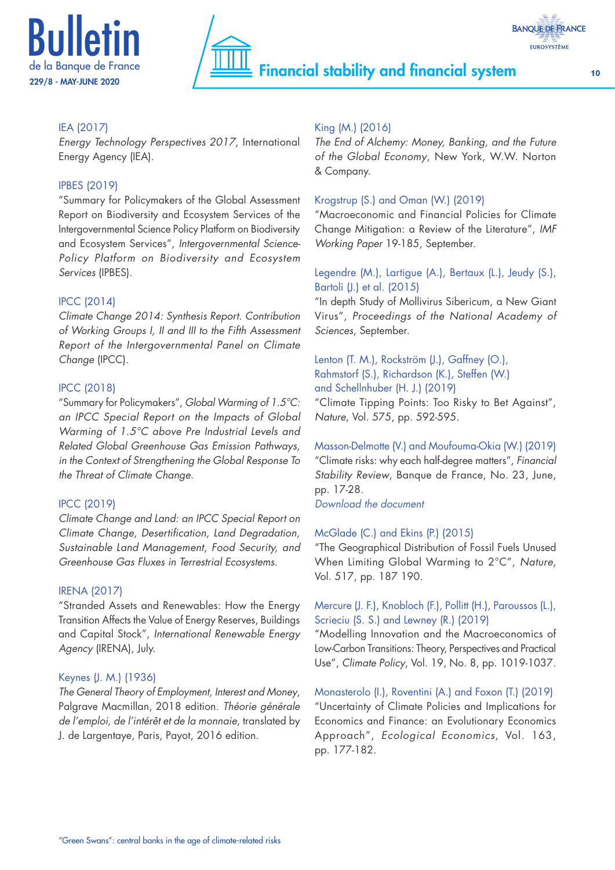



## IEA (2017)

*Energy Technology Perspectives 2017*, International Energy Agency (IEA).

#### IPBES (2019)

"Summary for Policymakers of the Global Assessment Report on Biodiversity and Ecosystem Services of the Intergovernmental Science Policy Platform on Biodiversity and Ecosystem Services", *Intergovernmental Science-Policy Platform on Biodiversity and Ecosystem Services* (IPBES).

### IPCC (2014)

*Climate Change 2014: Synthesis Report. Contribution of Working Groups I, II and III to the Fifth Assessment Report of the Intergovernmental Panel on Climate Change* (IPCC).

#### IPCC (2018)

"Summary for Policymakers", *Global Warming of 1.5°C: an IPCC Special Report on the Impacts of Global Warming of 1.5°C above Pre Industrial Levels and Related Global Greenhouse Gas Emission Pathways, in the Context of Strengthening the Global Response To the Threat of Climate Change*.

#### IPCC (2019)

*Climate Change and Land: an IPCC Special Report on Climate Change, Desertification, Land Degradation, Sustainable Land Management, Food Security, and Greenhouse Gas Fluxes in Terrestrial Ecosystems*.

#### IRENA (2017)

"Stranded Assets and Renewables: How the Energy Transition Affects the Value of Energy Reserves, Buildings and Capital Stock", *International Renewable Energy Agency* (IRENA), July.

#### Keynes (J. M.) (1936)

*The General Theory of Employment, Interest and Money*, Palgrave Macmillan, 2018 edition. *Théorie générale de l'emploi, de l'intérêt et de la monnaie*, translated by J. de Largentaye, Paris, Payot, 2016 edition.

### King (M.) (2016)

*The End of Alchemy: Money, Banking, and the Future of the Global Economy*, New York, W.W. Norton & Company.

#### Krogstrup (S.) and Oman (W.) (2019)

"Macroeconomic and Financial Policies for Climate Change Mitigation: a Review of the Literature", *IMF Working Paper* 19-185, September.

#### Legendre (M.), Lartigue (A.), Bertaux (L.), Jeudy (S.), Bartoli (J.) et al. (2015)

"In depth Study of Mollivirus Sibericum, a New Giant Virus", *Proceedings of the National Academy of Sciences*, September.

## Lenton (T. M.), Rockström (J.), Gaffney (O.), Rahmstorf (S.), Richardson (K.), Steffen (W.) and Schellnhuber (H. J.) (2019)

"Climate Tipping Points: Too Risky to Bet Against", *Nature*, Vol. 575, pp. 592-595.

## Masson-Delmotte (V.) and Moufouma-Okia (W.) (2019)

"Climate risks: why each half-degree matters", *Financial Stability Review*, Banque de France, No. 23, June, pp. 17-28.

*[Download the](https://publications.banque-france.fr/sites/default/files/media/2019/08/27/financial_stability_review_23.pdf) document*

#### McGlade (C.) and Ekins (P.) (2015)

"The Geographical Distribution of Fossil Fuels Unused When Limiting Global Warming to 2°C", *Nature*, Vol. 517, pp. 187 190.

## Mercure (J. F.), Knobloch (F.), Pollitt (H.), Paroussos (L.), Scrieciu (S. S.) and Lewney (R.) (2019)

"Modelling Innovation and the Macroeconomics of Low-Carbon Transitions: Theory, Perspectives and Practical Use", *Climate Policy*, Vol. 19, No. 8, pp. 1019-1037.

## Monasterolo (I.), Roventini (A.) and Foxon (T.) (2019) "Uncertainty of Climate Policies and Implications for Economics and Finance: an Evolutionary Economics Approach", *Ecological Economics*, Vol. 163, pp. 177-182.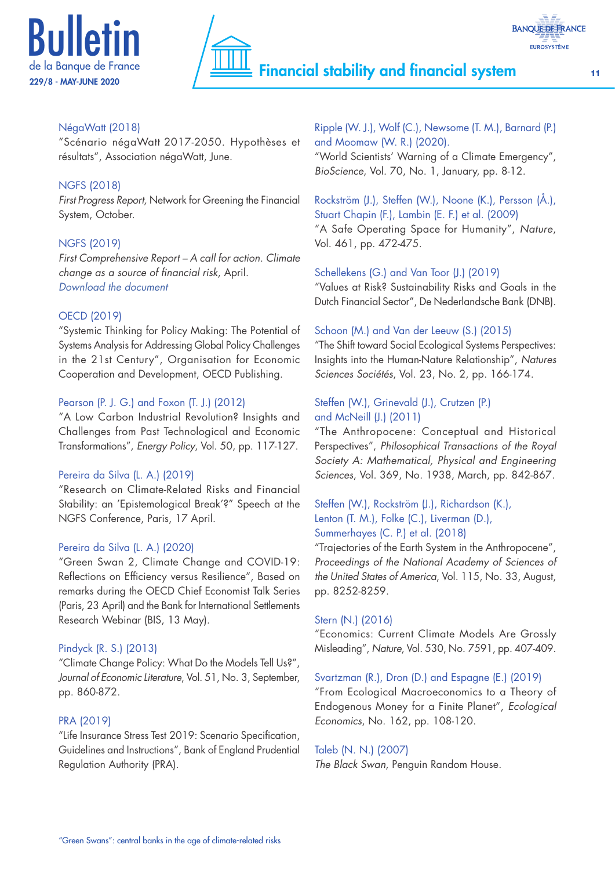



### NégaWatt (2018)

"Scénario négaWatt 2017-2050. Hypothèses et résultats", Association négaWatt, June.

#### NGFS (2018)

*First Progress Report,* Network for Greening the Financial System, October.

#### NGFS (2019)

*First Comprehensive Report – A call for action. Climate change as a source of financial risk*, April. *[Download the](https://www.banque-france.fr/sites/default/files/media/2019/04/17/ngfs_first_comprehensive_report_-_17042019_0.pdf) document*

#### OECD (2019)

"Systemic Thinking for Policy Making: The Potential of Systems Analysis for Addressing Global Policy Challenges in the 21st Century", Organisation for Economic Cooperation and Development, OECD Publishing.

#### Pearson (P. J. G.) and Foxon (T. J.) (2012)

"A Low Carbon Industrial Revolution? Insights and Challenges from Past Technological and Economic Transformations", *Energy Policy*, Vol. 50, pp. 117-127.

#### Pereira da Silva (L. A.) (2019)

"Research on Climate-Related Risks and Financial Stability: an 'Epistemological Break'?" Speech at the NGFS Conference, Paris, 17 April.

#### Pereira da Silva (L. A.) (2020)

"Green Swan 2, Climate Change and COVID-19: Reflections on Efficiency versus Resilience", Based on remarks during the OECD Chief Economist Talk Series (Paris, 23 April) and the Bank for International Settlements Research Webinar (BIS, 13 May).

#### Pindyck (R. S.) (2013)

"Climate Change Policy: What Do the Models Tell Us?", *Journal of Economic Literature*, Vol. 51, No. 3, September, pp. 860-872.

#### PRA (2019)

"Life Insurance Stress Test 2019: Scenario Specification, Guidelines and Instructions", Bank of England Prudential Regulation Authority (PRA).

Ripple (W. J.), Wolf (C.), Newsome (T. M.), Barnard (P.) and Moomaw (W. R.) (2020). "World Scientists' Warning of a Climate Emergency", *BioScience*, Vol. 70, No. 1, January, pp. 8-12.

Rockström (J.), Steffen (W.), Noone (K.), Persson (Å.), Stuart Chapin (F.), Lambin (E. F.) et al. (2009) "A Safe Operating Space for Humanity", *Nature*, Vol. 461, pp. 472-475.

#### Schellekens (G.) and Van Toor (J.) (2019)

"Values at Risk? Sustainability Risks and Goals in the Dutch Financial Sector", De Nederlandsche Bank (DNB).

#### Schoon (M.) and Van der Leeuw (S.) (2015)

"The Shift toward Social Ecological Systems Perspectives: Insights into the Human-Nature Relationship", *Natures Sciences Sociétés*, Vol. 23, No. 2, pp. 166-174.

## Steffen (W.), Grinevald (J.), Crutzen (P.) and McNeill (J.) (2011)

"The Anthropocene: Conceptual and Historical Perspectives", *Philosophical Transactions of the Royal Society A: Mathematical, Physical and Engineering Sciences*, Vol. 369, No. 1938, March, pp. 842-867.

## Steffen (W.), Rockström (J.), Richardson (K.), Lenton (T. M.), Folke (C.), Liverman (D.), Summerhayes (C. P.) et al. (2018)

"Trajectories of the Earth System in the Anthropocene", *Proceedings of the National Academy of Sciences of the United States of America*, Vol. 115, No. 33, August, pp. 8252-8259.

#### Stern (N.) (2016)

"Economics: Current Climate Models Are Grossly Misleading", *Nature*, Vol. 530, No. 7591, pp. 407-409.

#### Svartzman (R.), Dron (D.) and Espagne (E.) (2019)

"From Ecological Macroeconomics to a Theory of Endogenous Money for a Finite Planet", *Ecological Economics*, No. 162, pp. 108-120.

#### Taleb (N. N.) (2007)

*The Black Swan*, Penguin Random House.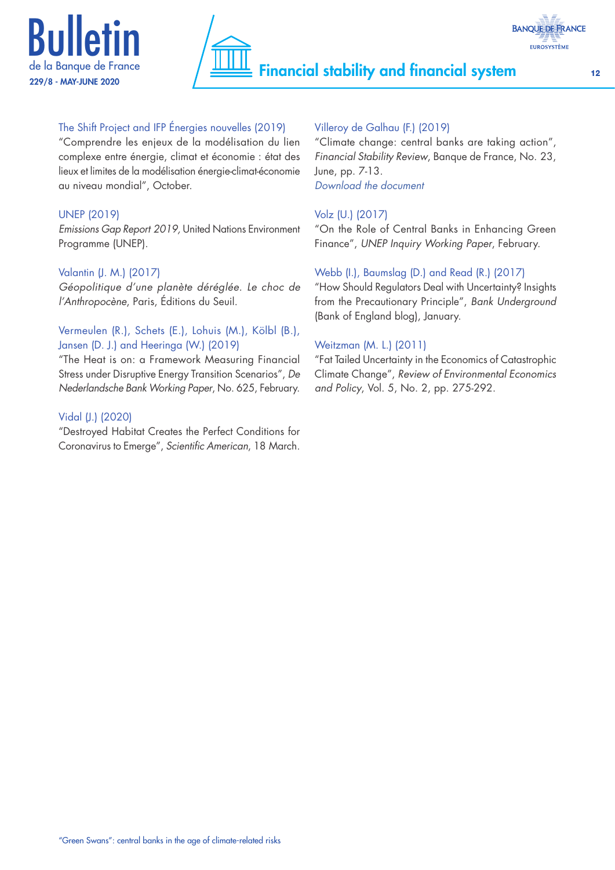



## The Shift Project and IFP Énergies nouvelles (2019)

"Comprendre les enjeux de la modélisation du lien complexe entre énergie, climat et économie : état des lieux et limites de la modélisation énergie-climat-économie au niveau mondial", October.

## UNEP (2019)

*Emissions Gap Report 2019,* United Nations Environment Programme (UNEP).

## Valantin (J. M.) (2017)

*Géopolitique d'une planète déréglée. Le choc de l'Anthropocène*, Paris, Éditions du Seuil.

## Vermeulen (R.), Schets (E.), Lohuis (M.), Kölbl (B.), Jansen (D. J.) and Heeringa (W.) (2019)

"The Heat is on: a Framework Measuring Financial Stress under Disruptive Energy Transition Scenarios", *De Nederlandsche Bank Working Paper*, No. 625, February.

### Vidal (J.) (2020)

"Destroyed Habitat Creates the Perfect Conditions for Coronavirus to Emerge", *Scientific American*, 18 March.

## Villeroy de Galhau (F.) (2019)

"Climate change: central banks are taking action", *Financial Stability Review*, Banque de France, No. 23, June, pp. 7-13. *[Download the](https://publications.banque-france.fr/sites/default/files/media/2019/08/27/financial_stability_review_23.pdf) document*

## Volz (U.) (2017)

"On the Role of Central Banks in Enhancing Green Finance", *UNEP Inquiry Working Paper*, February.

## Webb (I.), Baumslag (D.) and Read (R.) (2017)

"How Should Regulators Deal with Uncertainty? Insights from the Precautionary Principle", *Bank Underground* (Bank of England blog), January.

## Weitzman (M. L.) (2011)

"Fat Tailed Uncertainty in the Economics of Catastrophic Climate Change", *Review of Environmental Economics and Policy*, Vol. 5, No. 2, pp. 275-292.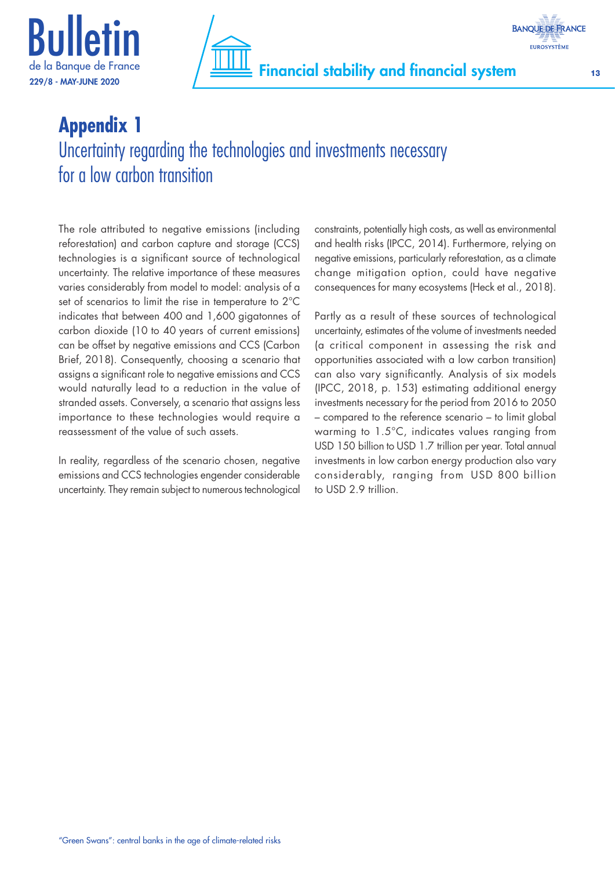



# **Appendix 1** Uncertainty regarding the technologies and investments necessary for a low carbon transition

The role attributed to negative emissions (including reforestation) and carbon capture and storage (CCS) technologies is a significant source of technological uncertainty. The relative importance of these measures varies considerably from model to model: analysis of a set of scenarios to limit the rise in temperature to 2°C indicates that between 400 and 1,600 gigatonnes of carbon dioxide (10 to 40 years of current emissions) can be offset by negative emissions and CCS (Carbon Brief, 2018). Consequently, choosing a scenario that assigns a significant role to negative emissions and CCS would naturally lead to a reduction in the value of stranded assets. Conversely, a scenario that assigns less importance to these technologies would require a reassessment of the value of such assets.

In reality, regardless of the scenario chosen, negative emissions and CCS technologies engender considerable uncertainty. They remain subject to numerous technological constraints, potentially high costs, as well as environmental and health risks (IPCC, 2014). Furthermore, relying on negative emissions, particularly reforestation, as a climate change mitigation option, could have negative consequences for many ecosystems (Heck et al., 2018).

Partly as a result of these sources of technological uncertainty, estimates of the volume of investments needed (a critical component in assessing the risk and opportunities associated with a low carbon transition) can also vary significantly. Analysis of six models (IPCC, 2018, p. 153) estimating additional energy investments necessary for the period from 2016 to 2050 – compared to the reference scenario – to limit global warming to 1.5°C, indicates values ranging from USD 150 billion to USD 1.7 trillion per year. Total annual investments in low carbon energy production also vary considerably, ranging from USD 800 billion to USD 2.9 trillion.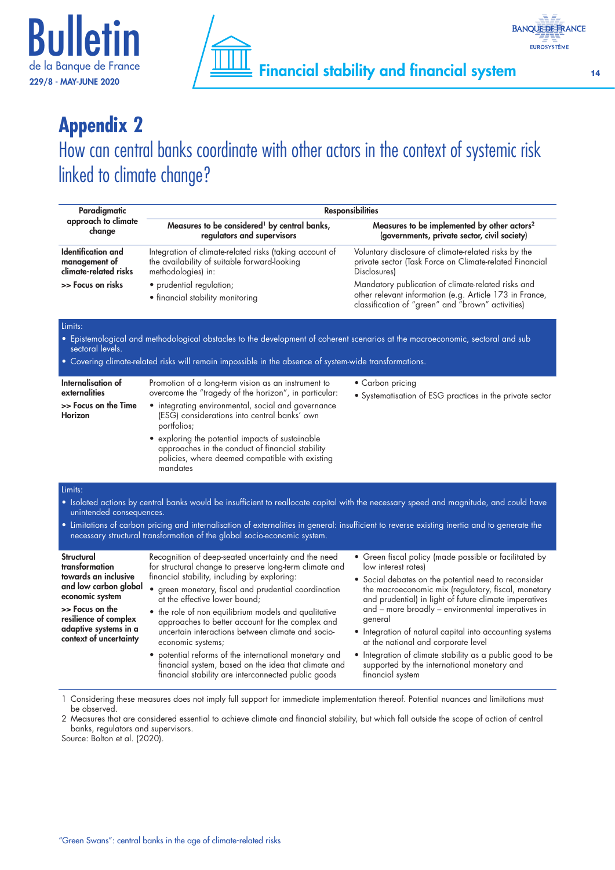



# **Appendix 2**

How can central banks coordinate with other actors in the context of systemic risk linked to climate change?

| Paradigmatic<br>approach to climate<br>change                                                                                                                                                                                                                                                                                                                                                              | <b>Responsibilities</b>                                                                                                                                                                                                                                                                                                                                                                                                                                                                                                                                                                                             |                                                                                                                                                                                                                                                                                                                                                                                                                                                                                                                                                           |  |
|------------------------------------------------------------------------------------------------------------------------------------------------------------------------------------------------------------------------------------------------------------------------------------------------------------------------------------------------------------------------------------------------------------|---------------------------------------------------------------------------------------------------------------------------------------------------------------------------------------------------------------------------------------------------------------------------------------------------------------------------------------------------------------------------------------------------------------------------------------------------------------------------------------------------------------------------------------------------------------------------------------------------------------------|-----------------------------------------------------------------------------------------------------------------------------------------------------------------------------------------------------------------------------------------------------------------------------------------------------------------------------------------------------------------------------------------------------------------------------------------------------------------------------------------------------------------------------------------------------------|--|
|                                                                                                                                                                                                                                                                                                                                                                                                            | Measures to be considered <sup>1</sup> by central banks,<br>regulators and supervisors                                                                                                                                                                                                                                                                                                                                                                                                                                                                                                                              | Measures to be implemented by other actors <sup>2</sup><br>(governments, private sector, civil society)                                                                                                                                                                                                                                                                                                                                                                                                                                                   |  |
| <b>Identification</b> and<br>management of<br>climate-related risks                                                                                                                                                                                                                                                                                                                                        | Integration of climate-related risks (taking account of<br>the availability of suitable forward-looking<br>methodologies) in:                                                                                                                                                                                                                                                                                                                                                                                                                                                                                       | Voluntary disclosure of climate-related risks by the<br>private sector (Task Force on Climate-related Financial<br><b>Disclosures</b>                                                                                                                                                                                                                                                                                                                                                                                                                     |  |
| >> Focus on risks                                                                                                                                                                                                                                                                                                                                                                                          | • prudential regulation;<br>• financial stability monitoring                                                                                                                                                                                                                                                                                                                                                                                                                                                                                                                                                        | Mandatory publication of climate-related risks and<br>other relevant information (e.g. Article 173 in France,<br>classification of "green" and "brown" activities)                                                                                                                                                                                                                                                                                                                                                                                        |  |
| Limits:<br>• Epistemological and methodological obstacles to the development of coherent scenarios at the macroeconomic, sectoral and sub<br>sectoral levels.<br>• Covering climate-related risks will remain impossible in the absence of system-wide transformations.                                                                                                                                    |                                                                                                                                                                                                                                                                                                                                                                                                                                                                                                                                                                                                                     |                                                                                                                                                                                                                                                                                                                                                                                                                                                                                                                                                           |  |
| Internalisation of<br>externalities<br>>> Focus on the Time<br><b>Horizon</b>                                                                                                                                                                                                                                                                                                                              | Promotion of a long-term vision as an instrument to<br>overcome the "tragedy of the horizon", in particular:<br>• integrating environmental, social and governance<br>(ESG) considerations into central banks' own<br>portfolios;<br>• exploring the potential impacts of sustainable<br>approaches in the conduct of financial stability<br>policies, where deemed compatible with existing<br>mandates                                                                                                                                                                                                            | • Carbon pricing<br>• Systematisation of ESG practices in the private sector                                                                                                                                                                                                                                                                                                                                                                                                                                                                              |  |
| Limits:<br>• Isolated actions by central banks would be insufficient to reallocate capital with the necessary speed and magnitude, and could have<br>unintended consequences.<br>• Limitations of carbon pricing and internalisation of externalities in general: insufficient to reverse existing inertia and to generate the<br>necessary structural transformation of the global socio-economic system. |                                                                                                                                                                                                                                                                                                                                                                                                                                                                                                                                                                                                                     |                                                                                                                                                                                                                                                                                                                                                                                                                                                                                                                                                           |  |
| Structural<br>transformation<br>towards an inclusive<br>and low carbon global<br>economic system<br>>> Focus on the<br>resilience of complex<br>adaptive systems in a<br>context of uncertainty                                                                                                                                                                                                            | Recognition of deep-seated uncertainty and the need<br>for structural change to preserve long-term climate and<br>financial stability, including by exploring:<br>• green monetary, fiscal and prudential coordination<br>at the effective lower bound;<br>• the role of non equilibrium models and qualitative<br>approaches to better account for the complex and<br>uncertain interactions between climate and socio-<br>economic systems;<br>potential reforms of the international monetary and<br>financial system, based on the idea that climate and<br>financial stability are interconnected public goods | • Green fiscal policy (made possible or facilitated by<br>low interest rates)<br>• Social debates on the potential need to reconsider<br>the macroeconomic mix (regulatory, fiscal, monetary<br>and prudential) in light of future climate imperatives<br>and - more broadly - environmental imperatives in<br>general<br>• Integration of natural capital into accounting systems<br>at the national and corporate level<br>• Integration of climate stability as a public good to be<br>supported by the international monetary and<br>financial system |  |

1 Considering these measures does not imply full support for immediate implementation thereof. Potential nuances and limitations must be observed.

2 Measures that are considered essential to achieve climate and financial stability, but which fall outside the scope of action of central banks, regulators and supervisors.

Source: Bolton et al. (2020).